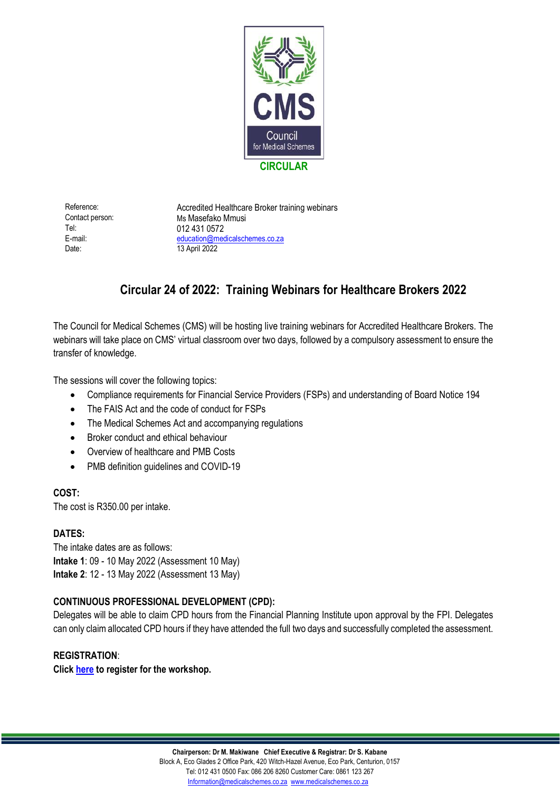

Tel: 012 431 0572 Date: 13 April 2022

Reference: Accredited Healthcare Broker training webinars Contact person: Ms Masefako Mmusi E-mail: [education@medicalschemes.co.za](mailto:education@medicalschemes.co.za)

# **Circular 24 of 2022: Training Webinars for Healthcare Brokers 2022**

The Council for Medical Schemes (CMS) will be hosting live training webinars for Accredited Healthcare Brokers. The webinars will take place on CMS' virtual classroom over two days, followed by a compulsory assessment to ensure the transfer of knowledge.

The sessions will cover the following topics:

- Compliance requirements for Financial Service Providers (FSPs) and understanding of Board Notice 194
- The FAIS Act and the code of conduct for FSPs
- The Medical Schemes Act and accompanying regulations
- Broker conduct and ethical behaviour
- Overview of healthcare and PMB Costs
- PMB definition guidelines and COVID-19

#### **COST:**

The cost is R350.00 per intake.

#### **DATES:**

The intake dates are as follows: **Intake 1**: 09 - 10 May 2022 (Assessment 10 May) **Intake 2**: 12 - 13 May 2022 (Assessment 13 May)

## **CONTINUOUS PROFESSIONAL DEVELOPMENT (CPD):**

Delegates will be able to claim CPD hours from the Financial Planning Institute upon approval by the FPI. Delegates can only claim allocated CPD hours if they have attended the full two days and successfully completed the assessment.

### **REGISTRATION**:

**Click [here](https://forms.gle/VHjKwfH66eBC1mrQ7) to register for the workshop.**